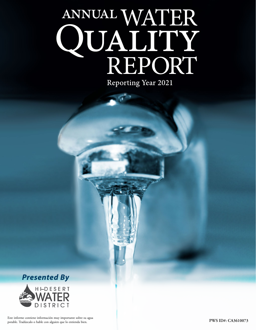# ANNUAL WATER QUALITY<br>REPORT Reporting Year 2021



Este informe contiene información muy importante sobre su agua<br>PWS ID#: CA3610073 potable. Tradúzcalo o hable con alguien que lo entienda bien.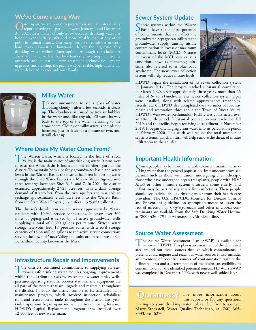# **We've Come a Long Way**

Once again, we are proud to present our annual water quality<br>report covering the period between January 1 and December<br>21, 2021, Jn. s. matter, f. selts a few data detailed water has 31, 2021. In a matter of only a few decades, drinking water has become exponentially safer and more reliable than at any other point in human history. Our exceptional staff continues to work hard every day—at all hours—to deliver the highest-quality drinking water without interruption. Although the challenges ahead are many, we feel that by relentlessly investing in customer outreach and education, new treatment technologies, system upgrades, and training, the payoff will be reliable, high-quality tap



#### **Milky Water**

It's not uncommon to see a glass of water<br>looking cloudy - after a few seconds, it clears It's not uncommon to see a glass of water up. The cloudiness is caused by tiny air bubbles in the water and, like any air, it'll work its way back to the top of the water, returning to the atmosphere. Cloudy or milky water is completely harmless. Just let it sit for a minute or two, and it will clear up.

## **Where Does My Water Come From?**

The Warren Basin, which is located in the heart of Yucca Valley, is the main source of our drinking water. It runs west to east; the Ames Basin is located in the northern part of the district. To maintain both a healthy groundwater basin and water levels in the Warren Basin, the district has been importing water through the State Water Project via Mojave Water Agency into three recharge locations: Sites 3, 6, and 7. In 2021 the district extracted approximately 2,923 acre-feet, with a daily average demand of 8 acre-feet, from the two aquifers and was able to recharge approximately 2,221 acre-feet into the Warren Basin from the State Water Project (1 acre-foot = 325,851 gallons).

The district's distribution system serves approximately 25,842 residents with 10,941 service connections. It covers over 300 miles of piping and is served by 11 active groundwater wells supplying a total of 6,600 gallons per minute. Sixteen water storage reservoirs feed 18 pressure zones with a total storage capacity of 13.34 million gallons to the active service connections serving the Town of Yucca Valley and unincorporated areas of San Bernardino County known as the Mesa.

#### **Infrastructure Repair and Improvements**

The district's continued commitment to supplying its cus-**L** tomers safe drinking water requires ongoing improvements within the distribution system. Water mains, water tanks, wells, pressure-regulating stations, booster stations, and equipment are all part of the system that we upgrade and maintain throughout the district. In 2020 the district completed its scheduled tank maintenance program, which involved inspection, rehabilitation, and restoration of tanks throughout the district. Last year, tank inspections began again and will continue moving forward. HDWD's Capital Replacement Program crew installed over 12,500 feet of new water main.

#### **Sewer System Update**

Septic systems within the Warren<br>Basin have the highest potential of contaminants that can affect the groundwater. Septage can infiltrate the groundwater supply, causing nitrate contamination in excess of maximum contaminant levels (MCL). Nitrates in excess of the MCL can cause a condition known as methemoglobinemia, also referred to as blue baby syndrome. The new sewer collection system will help reduce nitrate levels.



HDWD began the installation of its sewer collection system in January 2017. The project reached substantial completion in March 2020. Over approximately three years, more than 76 miles of 6- to 21-inch-diameter sewer collection system pipes were installed, along with related appurtenances (manholes, laterals, etc.). HDWD also completed over 76 miles of roadway repair and restoration throughout the Town of Yucca Valley. HDWD's Wastewater Reclamation Facility was constructed over an 18-month period. Substantial completion was reached in fall 2019, and the facility began receiving local effluent in November 2019. It began discharging clean water into its percolation ponds in February 2020. This work will reduce the total number of septic systems, which in turn will help remove the threat of nitrate infiltration to the aquifer.

#### **Important Health Information**

Some people may be more vulnerable to contaminants in drink-<br>ing water than the general population. Immunocompromised persons such as those with cancer undergoing chemotherapy, those who have undergone organ transplants, people with HIV/ AIDS or other immune system disorders, some elderly, and infants may be particularly at risk from infections. These people should seek advice about drinking water from their health care providers. The U.S. EPA/CDC (Centers for Disease Control and Prevention) guidelines on appropriate means to lessen the risk of infection by *Cryptosporidium* and other microbial contaminants are available from the Safe Drinking Water Hotline at (800) 426-4791 or [water.epa.gov/drink/hotline.](http://water.epa.gov/drink/hotline)

#### **Source Water Assessment**

The Source Water Assessment Plan (SWAP) is available for review at HDWD. This plan is an assessment of the delineated area around our listed sources through which contaminants, if present, could migrate and reach our water source. It also includes an inventory of potential sources of contamination within the delineated area and a determination of the basin's susceptibility to contamination by the identified potential sources. HDWD's SWAP was completed in December 2002, with newer wells added later.

QUESTIONS? For more information about this report, or for any questions relating to your drinking water, please feel free to contact Marty Stockstell, Water Quality Technician, at (760) 365- 8333, ext. 6276.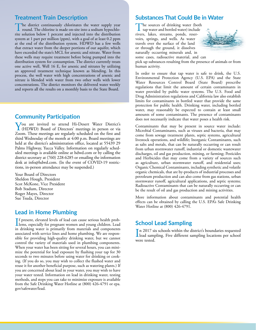#### **Treatment Train Description**

The district continuously chlorinates the water supply year round. The chlorine is made on-site into a sodium hypochlorite solution below 1 percent and injected into the distribution system at 1 part per million (ppm), with a goal of at least 0.2 ppm at the end of the distribution system. HDWD has a few wells that extract water from the deeper portions of our aquifer, which have exceeded the state's MCL for arsenic and nitrate. Water from these wells may require treatment before being pumped into the distribution system for consumption. The district currently treats one active well, Well 16 E, for arsenic and nitrates by utilizing an approved treatment technique known as blending. In this process, the well water with high concentrations of arsenic and nitrate is blended with water from two other wells with lower concentrations. The district monitors the delivered water weekly and reports all the results on a monthly basis to the State Board.

#### **Community Participation**

You are invited to attend Hi-Desert Water District's (HDWD) Board of Directors' meetings in person or via Zoom. These meetings are regularly scheduled on the first and third Wednesday of the month at 4:00 p.m. Board meetings are held at the district's administration office, located at 55439 29 Palms Highway, Yucca Valley. Information on regularly scheduled meetings is available online at [hdwd.com](http://hdwd.com) or by calling the district secretary at (760) 228-6285 or emailing the information desk at [info@hdwd.com.](mailto:info@hdwd.com) (In the event of COVID-19 restrictions, in-person attendance may be suspended.)

Your Board of Directors Sheldon Hough, President Scot McKone, Vice President Bob Stadum, Director Roger Mayes, Director Sue Tsuda, Director

## **Lead in Home Plumbing**

If present, elevated levels of lead can cause serious health prob-<br>lems, especially for pregnant women and young children. Lead **T** f present, elevated levels of lead can cause serious health probin drinking water is primarily from materials and components associated with service lines and home plumbing. We are responsible for providing high-quality drinking water, but we cannot control the variety of materials used in plumbing components. When your water has been sitting for several hours, you can minimize the potential for lead exposure by flushing your tap for 30 seconds to two minutes before using water for drinking or cooking. (If you do so, you may wish to collect the flushed water and reuse it for another beneficial purpose, such as watering plants.) If you are concerned about lead in your water, you may wish to have your water tested. Information on lead in drinking water, testing methods, and steps you can take to minimize exposure is available from the Safe Drinking Water Hotline at (800) 426-4791 or [epa.](http://epa.gov/safewater/lead) [gov/safewater/lead.](http://epa.gov/safewater/lead)

## **Substances That Could Be in Water**

The sources of drinking water (both tap water and bottled water) include rivers, lakes, streams, ponds, reservoirs, springs, and wells. As water travels over the surface of the land or through the ground, it dissolves naturally occurring minerals and, in some cases, radioactive material, and can



pick up substances resulting from the presence of animals or from human activity.

In order to ensure that tap water is safe to drink, the U.S. Environmental Protection Agency (U.S. EPA) and the State Water Resources Control Board (State Board) prescribe regulations that limit the amount of certain contaminants in water provided by public water systems. The U.S. Food and Drug Administration regulations and California law also establish limits for contaminants in bottled water that provide the same protection for public health. Drinking water, including bottled water, may reasonably be expected to contain at least small amounts of some contaminants. The presence of contaminants does not necessarily indicate that water poses a health risk.

Contaminants that may be present in source water include: Microbial Contaminants, such as viruses and bacteria, that may come from sewage treatment plants, septic systems, agricultural livestock operations, and wildlife; Inorganic Contaminants, such as salts and metals, that can be naturally occurring or can result from urban stormwater runoff, industrial or domestic wastewater discharges, oil and gas production, mining, or farming; Pesticides and Herbicides that may come from a variety of sources such as agriculture, urban stormwater runoff, and residential uses; Organic Chemical Contaminants, including synthetic and volatile organic chemicals, that are by-products of industrial processes and petroleum production and can also come from gas stations, urban stormwater runoff, agricultural applications, and septic systems; Radioactive Contaminants that can be naturally occurring or can be the result of oil and gas production and mining activities.

More information about contaminants and potential health effects can be obtained by calling the U.S. EPA's Safe Drinking Water Hotline at (800) 426-4791.

## **School Lead Sampling**

In 2017 six schools within the district's boundaries requested<br>lead sampling. Five different sampling locations per school In 2017 six schools within the district's boundaries requested were tested.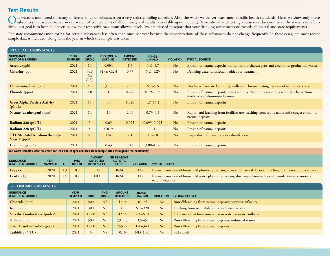## **Test Results**

Our water is monitored for many different kinds of substances on a very strict sampling schedule. Also, the water we deliver must meet specific health standards. Here, we show only those<br>substances that were detected in ou drink; our goal is to keep all detects below their respective maximum allowed levels. We are pleased to report that your drinking water meets or exceeds all federal and state requirements.

The state recommends monitoring for certain substances less often than once per year because the concentrations of these substances do not change frequently. In these cases, the most recent sample data is included, along with the year in which the sample was taken.

| <b>REGULATED SUBSTANCES</b>                            |                               |                       |                       |                                  |                          |                  |                                                                                                                             |
|--------------------------------------------------------|-------------------------------|-----------------------|-----------------------|----------------------------------|--------------------------|------------------|-----------------------------------------------------------------------------------------------------------------------------|
| <b>SUBSTANCE</b><br>(UNIT OF MEASURE)                  | <b>YEAR</b><br><b>SAMPLED</b> | <b>MCL</b><br>[MRDL]  | PHG (MCLG)<br>[MRDLG] | <b>AMOUNT</b><br><b>DETECTED</b> | <b>RANGE</b><br>LOW-HIGH | <b>VIOLATION</b> | <b>TYPICAL SOURCE</b>                                                                                                       |
| <b>Arsenic</b> (ppb)                                   | 2021                          | 10                    | 0.004                 | 1.6                              | $ND-5.7$                 | N <sub>o</sub>   | Erosion of natural deposits; runoff from orchards; glass and electronics production wastes                                  |
| <b>Chlorine</b> (ppm)                                  | 2021                          | [4.0]<br>(as<br>Cl2)] | [4 (as Cl2)]          | 0.77                             | $ND-1.25$                | N <sub>o</sub>   | Drinking water disinfectant added for treatment                                                                             |
| <b>Chromium, Total</b> (ppb)                           | 2021                          | 50                    | (100)                 | 2.05                             | $ND-5.5$                 | N <sub>o</sub>   | Discharge from steel and pulp mills and chrome plating; erosion of natural deposits                                         |
| <b>Fluoride</b> (ppm)                                  | 2021                          | 2.0                   |                       | 0.276                            | $0.19 - 0.57$            | N <sub>o</sub>   | Erosion of natural deposits; water additive that promotes strong teeth; discharge from<br>fertilizer and aluminum factories |
| <b>Gross Alpha Particle Activity</b><br>(pCi/L)        | 2021                          | 15                    | (0)                   | 8.026                            | $1.7 - 14.1$             | N <sub>o</sub>   | Erosion of natural deposits                                                                                                 |
| Nitrate [as nitrogen] (ppm)                            | 2021                          | 10                    | 10                    | 2.49                             | $0.73 - 4.3$             | N <sub>o</sub>   | Runoff and leaching from fertilizer use; leaching from septic tanks and sewage; erosion of<br>natural deposits              |
| <b>Radium 226</b> ( $pCi/L$ )                          | 2021                          | 5                     | 0.05                  | 0.095                            | $0.095 - 0.095$          | N <sub>o</sub>   | Erosion of natural deposits                                                                                                 |
| Radium 228 (pCi/L)                                     | 2021                          | 5                     | 0.019                 |                                  | $1 - 1$                  | No               | Erosion of natural deposits                                                                                                 |
| TTHMs [total trihalomethanes]-<br><b>Stage 1</b> (ppb) | 2021                          | 80                    | NA                    | 7.1                              | $4.2 - 10$               | N <sub>o</sub>   | By-product of drinking water disinfection                                                                                   |
| Uranium $(pCi/L)$                                      | 2021                          | 20                    | 0.43                  | 7.43                             | $3.08 - 10.6$            | No               | Erosion of natural deposits                                                                                                 |

**Tap water samples were collected for lead and copper analyses from sample sites throughout the community.**

| <b>SUBSTANCE</b><br>(UNIT OF MEASURE) | <b>YEAR</b><br><b>SAMPLED</b> | <b>AL</b> | <b>PHG</b><br>(MCLG)          | <b>AMOUNT</b><br><b>DETECTED</b><br>(90TH %ILE) |               | <b>SITES ABOVE</b><br><b>AL/TOTAL</b><br><b>SITES</b> | <b>VIOLATION</b>         | <b>TYPICAL SOURCE</b>                                                                                                            |                                                             |
|---------------------------------------|-------------------------------|-----------|-------------------------------|-------------------------------------------------|---------------|-------------------------------------------------------|--------------------------|----------------------------------------------------------------------------------------------------------------------------------|-------------------------------------------------------------|
| <b>Copper</b> (ppm)                   | 2020                          | 1.3       | 0.3                           | 0.15                                            |               | 0/34                                                  | N <sub>o</sub>           | Internal corrosion of household plumbing systems; erosion of natural deposits; leaching from wood preservatives                  |                                                             |
| Lead (ppb)                            | 2020                          | 15        | 0.2                           | <b>ND</b>                                       |               | 0/34                                                  | No                       | Internal corrosion of household water plumbing systems; discharges from industrial manufacturers; erosion of<br>natural deposits |                                                             |
| <b>SECONDARY SUBSTANCES</b>           |                               |           |                               |                                                 |               |                                                       |                          |                                                                                                                                  |                                                             |
| <b>SUBSTANCE</b><br>(UNIT OF MEASURE) |                               |           | <b>YEAR</b><br><b>SAMPLED</b> | <b>SMCL</b>                                     | PHG<br>(MCLG) | <b>AMOUNT</b><br><b>DETECTED</b>                      | <b>RANGE</b><br>LOW-HIGH | <b>VIOLATION</b>                                                                                                                 | <b>TYPICAL SOURCE</b>                                       |
| <b>Chloride</b> (ppm)                 |                               |           | 2021                          | 500                                             | <b>NS</b>     | 47.75                                                 | $16 - 74$                | N <sub>o</sub>                                                                                                                   | Runoff/leaching from natural deposits; seawater influence   |
| <b>Iron</b> (ppb)                     |                               |           | 2021                          | 300                                             | <b>NS</b>     | 40                                                    | $ND-320$                 | No<br>Leaching from natural deposits; industrial wastes                                                                          |                                                             |
| <b>Specific Conductance</b> (umho/cm) |                               |           | 2021                          | 1,600                                           | <b>NS</b>     | 427.5                                                 | $280 - 510$              | N <sub>o</sub>                                                                                                                   | Substances that form ions when in water; seawater influence |
| Sulfate (ppm)                         |                               |           | 2021                          | 500                                             | <b>NS</b>     | 33.125                                                | $13 - 45$                | No                                                                                                                               | Runoff/leaching from natural deposits; industrial wastes    |
| <b>Total Dissolved Solids (ppm)</b>   |                               |           | 2021                          | 1,000                                           | <b>NS</b>     | 255.22                                                | $170 - 340$              | No<br>Runoff/leaching from natural deposits                                                                                      |                                                             |
| Turbidity (NTU)                       |                               |           | 2021                          |                                                 | <b>NS</b>     | 0.10                                                  | $ND-1.80$                | No<br>Soil runoff                                                                                                                |                                                             |